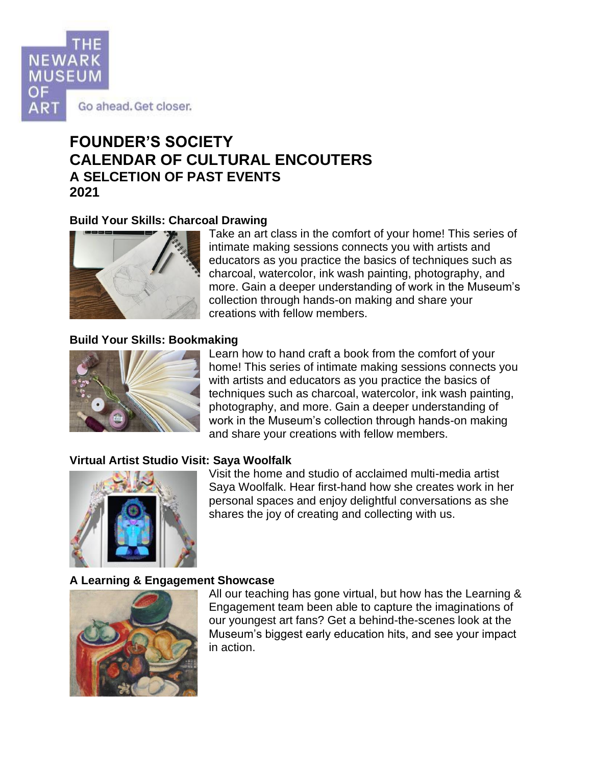

# **FOUNDER'S SOCIETY CALENDAR OF CULTURAL ENCOUTERS A SELCETION OF PAST EVENTS 2021**

## **Build Your Skills: Charcoal Drawing**



Take an art class in the comfort of your home! This series of intimate making sessions connects you with artists and educators as you practice the basics of techniques such as charcoal, watercolor, ink wash painting, photography, and more. Gain a deeper understanding of work in the Museum's collection through hands-on making and share your creations with fellow members.

## **Build Your Skills: Bookmaking**



Learn how to hand craft a book from the comfort of your home! This series of intimate making sessions connects you with artists and educators as you practice the basics of techniques such as charcoal, watercolor, ink wash painting, photography, and more. Gain a deeper understanding of work in the Museum's collection through hands-on making and share your creations with fellow members.

## **Virtual Artist Studio Visit: Saya Woolfalk**



Visit the home and studio of acclaimed multi-media artist Saya Woolfalk. Hear first-hand how she creates work in her personal spaces and enjoy delightful conversations as she shares the joy of creating and collecting with us.

## **A Learning & Engagement Showcase**



All our teaching has gone virtual, but how has the Learning & Engagement team been able to capture the imaginations of our youngest art fans? Get a behind-the-scenes look at the Museum's biggest early education hits, and see your impact in action.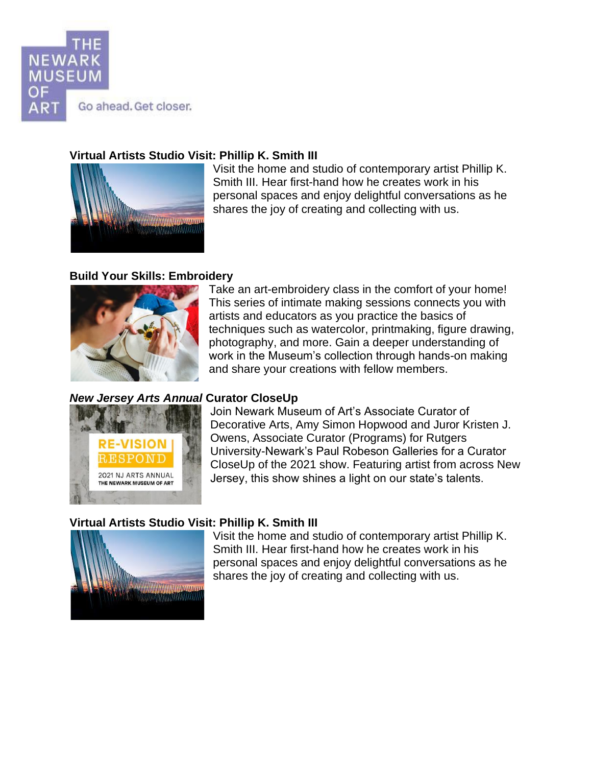

## **Virtual Artists Studio Visit: Phillip K. Smith III**



Visit the home and studio of contemporary artist Phillip K. Smith III. Hear first-hand how he creates work in his personal spaces and enjoy delightful conversations as he shares the joy of creating and collecting with us.

## **Build Your Skills: Embroidery**



Take an art-embroidery class in the comfort of your home! This series of intimate making sessions connects you with artists and educators as you practice the basics of techniques such as watercolor, printmaking, figure drawing, photography, and more. Gain a deeper understanding of work in the Museum's collection through hands-on making and share your creations with fellow members.

## *New Jersey Arts Annual* **Curator CloseUp**



Join Newark Museum of Art's Associate Curator of Decorative Arts, Amy Simon Hopwood and Juror Kristen J. Owens, Associate Curator (Programs) for Rutgers University-Newark's Paul Robeson Galleries for a Curator CloseUp of the 2021 show. Featuring artist from across New Jersey, this show shines a light on our state's talents.

## **Virtual Artists Studio Visit: Phillip K. Smith III**



Visit the home and studio of contemporary artist Phillip K. Smith III. Hear first-hand how he creates work in his personal spaces and enjoy delightful conversations as he shares the joy of creating and collecting with us.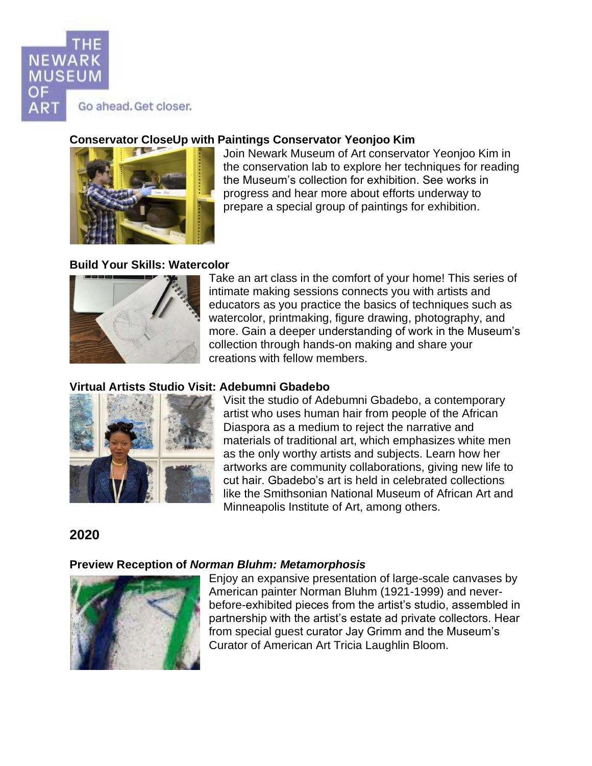

## **Conservator CloseUp with Paintings Conservator Yeonjoo Kim**



Join Newark Museum of Art conservator Yeonjoo Kim in the conservation lab to explore her techniques for reading the Museum's collection for exhibition. See works in progress and hear more about efforts underway to prepare a special group of paintings for exhibition.

## **Build Your Skills: Watercolor**



Take an art class in the comfort of your home! This series of intimate making sessions connects you with artists and educators as you practice the basics of techniques such as watercolor, printmaking, figure drawing, photography, and more. Gain a deeper understanding of work in the Museum's collection through hands-on making and share your creations with fellow members.

## **Virtual Artists Studio Visit: Adebumni Gbadebo**



Visit the studio of Adebumni Gbadebo, a contemporary artist who uses human hair from people of the African Diaspora as a medium to reject the narrative and materials of traditional art, which emphasizes white men as the only worthy artists and subjects. Learn how her artworks are community collaborations, giving new life to cut hair. Gbadebo's art is held in celebrated collections like the Smithsonian National Museum of African Art and Minneapolis Institute of Art, among others.

## **2020**

## **Preview Reception of** *Norman Bluhm: Metamorphosis*



Enjoy an expansive presentation of large-scale canvases by American painter Norman Bluhm (1921-1999) and neverbefore-exhibited pieces from the artist's studio, assembled in partnership with the artist's estate ad private collectors. Hear from special guest curator Jay Grimm and the Museum's Curator of American Art Tricia Laughlin Bloom.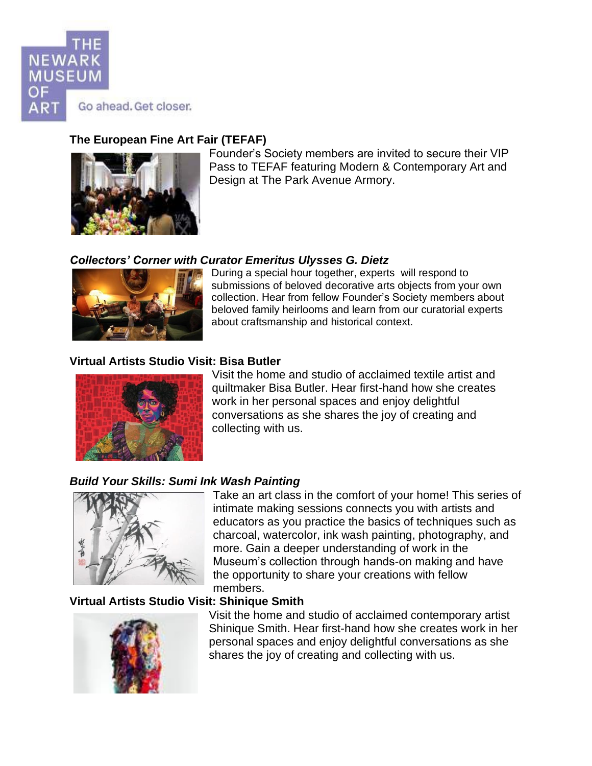

## **The European Fine Art Fair (TEFAF)**



Founder's Society members are invited to secure their VIP Pass to TEFAF featuring Modern & Contemporary Art and Design at The Park Avenue Armory.

## *Collectors' Corner with Curator Emeritus Ulysses G. Dietz*



During a special hour together, experts will respond to submissions of beloved decorative arts objects from your own collection. Hear from fellow Founder's Society members about beloved family heirlooms and learn from our curatorial experts about craftsmanship and historical context.

## **Virtual Artists Studio Visit: Bisa Butler**



Visit the home and studio of acclaimed textile artist and quiltmaker Bisa Butler. Hear first-hand how she creates work in her personal spaces and enjoy delightful conversations as she shares the joy of creating and collecting with us.

## *Build Your Skills: Sumi Ink Wash Painting*



Take an art class in the comfort of your home! This series of intimate making sessions connects you with artists and educators as you practice the basics of techniques such as charcoal, watercolor, ink wash painting, photography, and more. Gain a deeper understanding of work in the Museum's collection through hands-on making and have the opportunity to share your creations with fellow members.

## **Virtual Artists Studio Visit: Shinique Smith**



Visit the home and studio of acclaimed contemporary artist Shinique Smith. Hear first-hand how she creates work in her personal spaces and enjoy delightful conversations as she shares the joy of creating and collecting with us.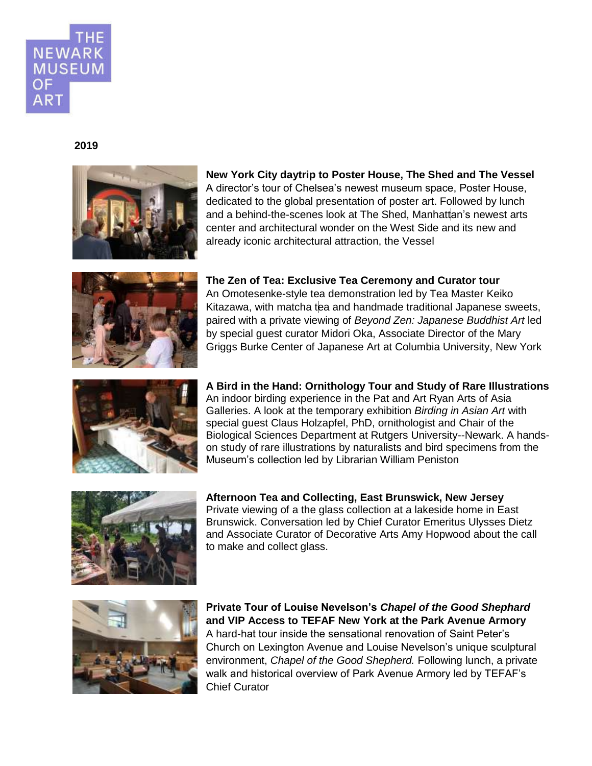

#### **2019**



# **New York City daytrip to Poster House, The Shed and The Vessel**

A director's tour of Chelsea's newest museum space, Poster House, dedicated to the global presentation of poster art. Followed by lunch and a behind-the-scenes look at The Shed. Manhattan's newest arts center and architectural wonder on the West Side and its new and already iconic architectural attraction, the Vessel



#### **The Zen of Tea: Exclusive Tea Ceremony and Curator tour**

An Omotesenke-style tea demonstration led by Tea Master Keiko Kitazawa, with matcha tea and handmade traditional Japanese sweets, paired with a private viewing of *Beyond Zen: Japanese Buddhist Art* led by special guest curator Midori Oka, Associate Director of the Mary Griggs Burke Center of Japanese Art at Columbia University, New York



**A Bird in the Hand: Ornithology Tour and Study of Rare Illustrations**  An indoor birding experience in the Pat and Art Ryan Arts of Asia Galleries. A look at the temporary exhibition *Birding in Asian Art* with special guest Claus Holzapfel, PhD, ornithologist and Chair of the Biological Sciences Department at Rutgers University--Newark. A handson study of rare illustrations by naturalists and bird specimens from the Museum's collection led by Librarian William Peniston



**Afternoon Tea and Collecting, East Brunswick, New Jersey**  Private viewing of a the glass collection at a lakeside home in East Brunswick. Conversation led by Chief Curator Emeritus Ulysses Dietz and Associate Curator of Decorative Arts Amy Hopwood about the call to make and collect glass.



**Private Tour of Louise Nevelson's** *Chapel of the Good Shephard*  **and VIP Access to TEFAF New York at the Park Avenue Armory**  A hard-hat tour inside the sensational renovation of Saint Peter's Church on Lexington Avenue and Louise Nevelson's unique sculptural environment, *Chapel of the Good Shepherd.* Following lunch, a private walk and historical overview of Park Avenue Armory led by TEFAF's Chief Curator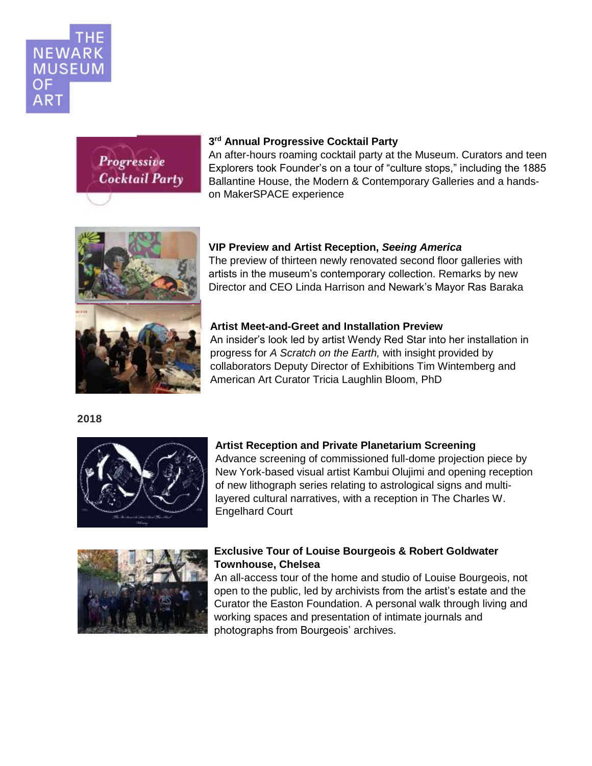

# Progressive **Cocktail Party**

## **3 rd Annual Progressive Cocktail Party**

An after-hours roaming cocktail party at the Museum. Curators and teen Explorers took Founder's on a tour of "culture stops," including the 1885 Ballantine House, the Modern & Contemporary Galleries and a handson MakerSPACE experience



## **VIP Preview and Artist Reception,** *Seeing America*

The preview of thirteen newly renovated second floor galleries with artists in the museum's contemporary collection. Remarks by new Director and CEO Linda Harrison and Newark's Mayor Ras Baraka

## **Artist Meet-and-Greet and Installation Preview**

An insider's look led by artist Wendy Red Star into her installation in progress for *A Scratch on the Earth,* with insight provided by collaborators Deputy Director of Exhibitions Tim Wintemberg and American Art Curator Tricia Laughlin Bloom, PhD

 **2018** 



### **Artist Reception and Private Planetarium Screening**

Advance screening of commissioned full-dome projection piece by New York-based visual artist Kambui Olujimi and opening reception of new lithograph series relating to astrological signs and multilayered cultural narratives, with a reception in The Charles W. Engelhard Court



## **Exclusive Tour of Louise Bourgeois & Robert Goldwater Townhouse, Chelsea**

An all-access tour of the home and studio of Louise Bourgeois, not open to the public, led by archivists from the artist's estate and the Curator the Easton Foundation. A personal walk through living and working spaces and presentation of intimate journals and photographs from Bourgeois' archives.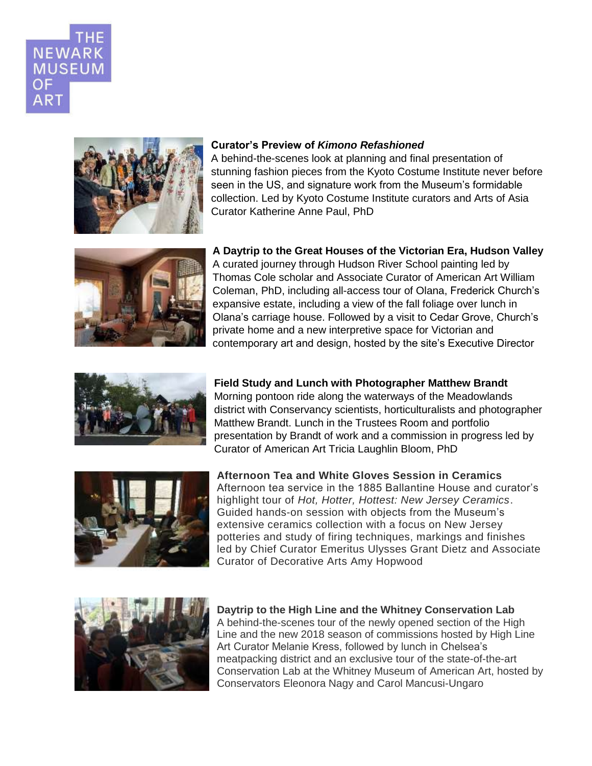



#### **Curator's Preview of** *Kimono Refashioned*

A behind-the-scenes look at planning and final presentation of stunning fashion pieces from the Kyoto Costume Institute never before seen in the US, and signature work from the Museum's formidable collection. Led by Kyoto Costume Institute curators and Arts of Asia Curator Katherine Anne Paul, PhD



**A Daytrip to the Great Houses of the Victorian Era, Hudson Valley**  A curated journey through Hudson River School painting led by Thomas Cole scholar and Associate Curator of American Art William Coleman, PhD, including all-access tour of Olana, Frederick Church's expansive estate, including a view of the fall foliage over lunch in Olana's carriage house. Followed by a visit to Cedar Grove, Church's private home and a new interpretive space for Victorian and contemporary art and design, hosted by the site's Executive Director



**Field Study and Lunch with Photographer Matthew Brandt**  Morning pontoon ride along the waterways of the Meadowlands district with Conservancy scientists, horticulturalists and photographer Matthew Brandt. Lunch in the Trustees Room and portfolio presentation by Brandt of work and a commission in progress led by Curator of American Art Tricia Laughlin Bloom, PhD



**Afternoon Tea and White Gloves Session in Ceramics**  Afternoon tea service in the 1885 Ballantine House and curator's highlight tour of *Hot, Hotter, Hottest: New Jersey Ceramics*. Guided hands-on session with objects from the Museum's extensive ceramics collection with a focus on New Jersey potteries and study of firing techniques, markings and finishes led by Chief Curator Emeritus Ulysses Grant Dietz and Associate Curator of Decorative Arts Amy Hopwood



**Daytrip to the High Line and the Whitney Conservation Lab**  A behind-the-scenes tour of the newly opened section of the High Line and the new 2018 season of commissions hosted by High Line Art Curator Melanie Kress, followed by lunch in Chelsea's meatpacking district and an exclusive tour of the state-of-the-art Conservation Lab at the Whitney Museum of American Art, hosted by Conservators Eleonora Nagy and Carol Mancusi-Ungaro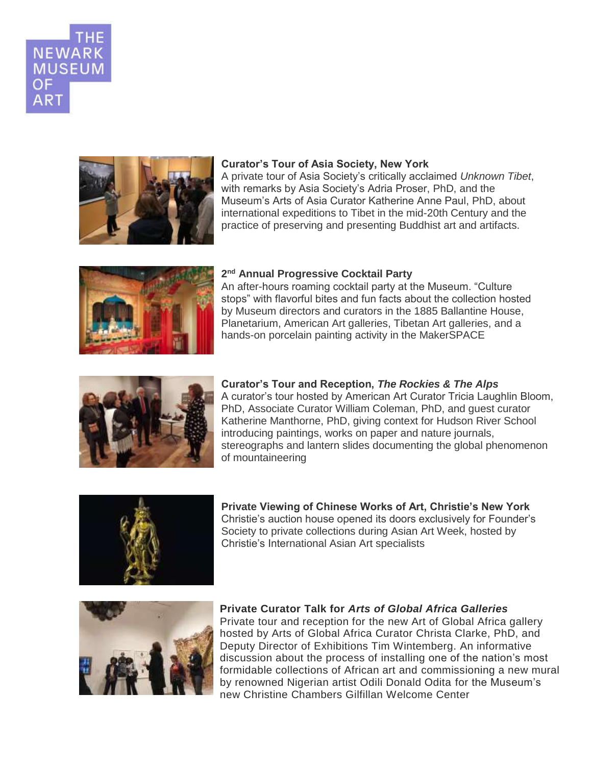



#### **Curator's Tour of Asia Society, New York**

A private tour of Asia Society's critically acclaimed *Unknown Tibet*, with remarks by Asia Society's Adria Proser, PhD, and the Museum's Arts of Asia Curator Katherine Anne Paul, PhD, about international expeditions to Tibet in the mid-20th Century and the practice of preserving and presenting Buddhist art and artifacts.



#### **2 nd Annual Progressive Cocktail Party**

An after-hours roaming cocktail party at the Museum. "Culture stops" with flavorful bites and fun facts about the collection hosted by Museum directors and curators in the 1885 Ballantine House, Planetarium, American Art galleries, Tibetan Art galleries, and a hands-on porcelain painting activity in the MakerSPACE



**Curator's Tour and Reception,** *The Rockies & The Alps* A curator's tour hosted by American Art Curator Tricia Laughlin Bloom, PhD, Associate Curator William Coleman, PhD, and guest curator Katherine Manthorne, PhD, giving context for Hudson River School introducing paintings, works on paper and nature journals, stereographs and lantern slides documenting the global phenomenon of mountaineering



**Private Viewing of Chinese Works of Art, Christie's New York** Christie's auction house opened its doors exclusively for Founder's Society to private collections during Asian Art Week, hosted by Christie's International Asian Art specialists



**Private Curator Talk for** *Arts of Global Africa Galleries* Private tour and reception for the new Art of Global Africa gallery hosted by Arts of Global Africa Curator Christa Clarke, PhD, and Deputy Director of Exhibitions Tim Wintemberg. An informative discussion about the process of installing one of the nation's most formidable collections of African art and commissioning a new mural by renowned Nigerian artist Odili Donald Odita for the Museum's new Christine Chambers Gilfillan Welcome Center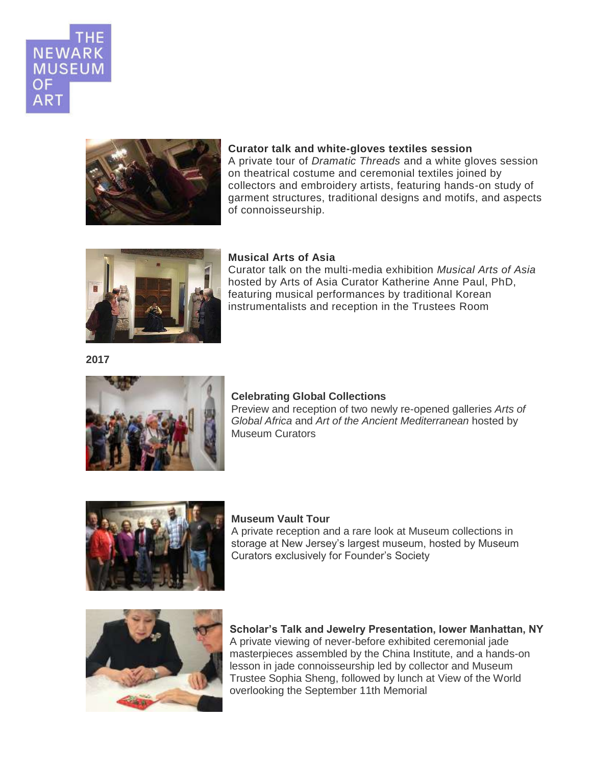



# **Curator talk and white-gloves textiles session**

A private tour of *Dramatic Threads* and a white gloves session on theatrical costume and ceremonial textiles joined by collectors and embroidery artists, featuring hands-on study of garment structures, traditional designs and motifs, and aspects of connoisseurship.



#### **Musical Arts of Asia**

Curator talk on the multi-media exhibition *Musical Arts of Asia* hosted by Arts of Asia Curator Katherine Anne Paul, PhD, featuring musical performances by traditional Korean instrumentalists and reception in the Trustees Room

**2017**



#### **Celebrating Global Collections**

Preview and reception of two newly re-opened galleries *Arts of Global Africa* and *Art of the Ancient Mediterranean* hosted by Museum Curators



## **Museum Vault Tour**

A private reception and a rare look at Museum collections in storage at New Jersey's largest museum, hosted by Museum Curators exclusively for Founder's Society



**Scholar's Talk and Jewelry Presentation, lower Manhattan, NY** A private viewing of never-before exhibited ceremonial jade masterpieces assembled by the China Institute, and a hands-on lesson in jade connoisseurship led by collector and Museum Trustee Sophia Sheng, followed by lunch at View of the World overlooking the September 11th Memorial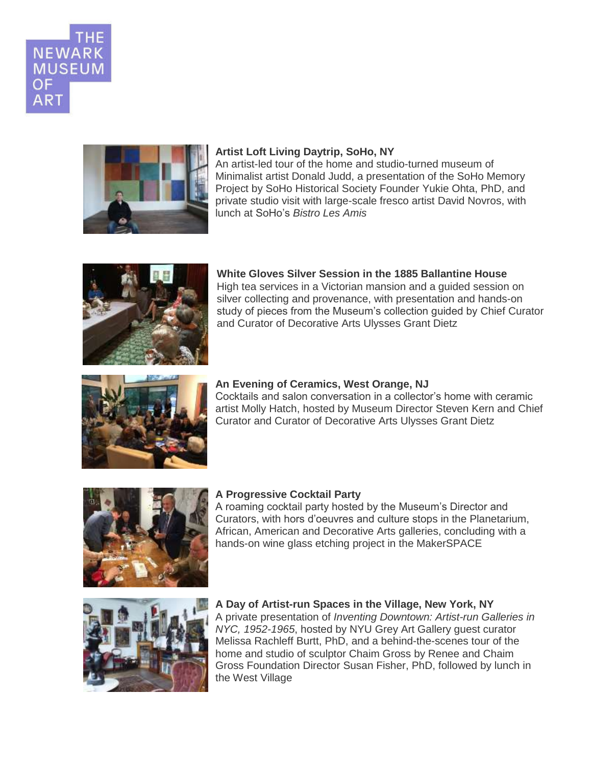



#### **Artist Loft Living Daytrip, SoHo, NY**

An artist-led tour of the home and studio-turned museum of Minimalist artist Donald Judd, a presentation of the SoHo Memory Project by SoHo Historical Society Founder Yukie Ohta, PhD, and private studio visit with large-scale fresco artist David Novros, with lunch at SoHo's *Bistro Les Amis*



**White Gloves Silver Session in the 1885 Ballantine House** High tea services in a Victorian mansion and a guided session on silver collecting and provenance, with presentation and hands-on study of pieces from the Museum's collection guided by Chief Curator and Curator of Decorative Arts Ulysses Grant Dietz



#### **An Evening of Ceramics, West Orange, NJ**

Cocktails and salon conversation in a collector's home with ceramic artist Molly Hatch, hosted by Museum Director Steven Kern and Chief Curator and Curator of Decorative Arts Ulysses Grant Dietz



#### **A Progressive Cocktail Party**

A roaming cocktail party hosted by the Museum's Director and Curators, with hors d'oeuvres and culture stops in the Planetarium, African, American and Decorative Arts galleries, concluding with a hands-on wine glass etching project in the MakerSPACE



#### **A Day of Artist-run Spaces in the Village, New York, NY** A private presentation of *Inventing Downtown: Artist-run Galleries in NYC, 1952-1965*, hosted by NYU Grey Art Gallery guest curator Melissa Rachleff Burtt, PhD, and a behind-the-scenes tour of the home and studio of sculptor Chaim Gross by Renee and Chaim Gross Foundation Director Susan Fisher, PhD, followed by lunch in the West Village